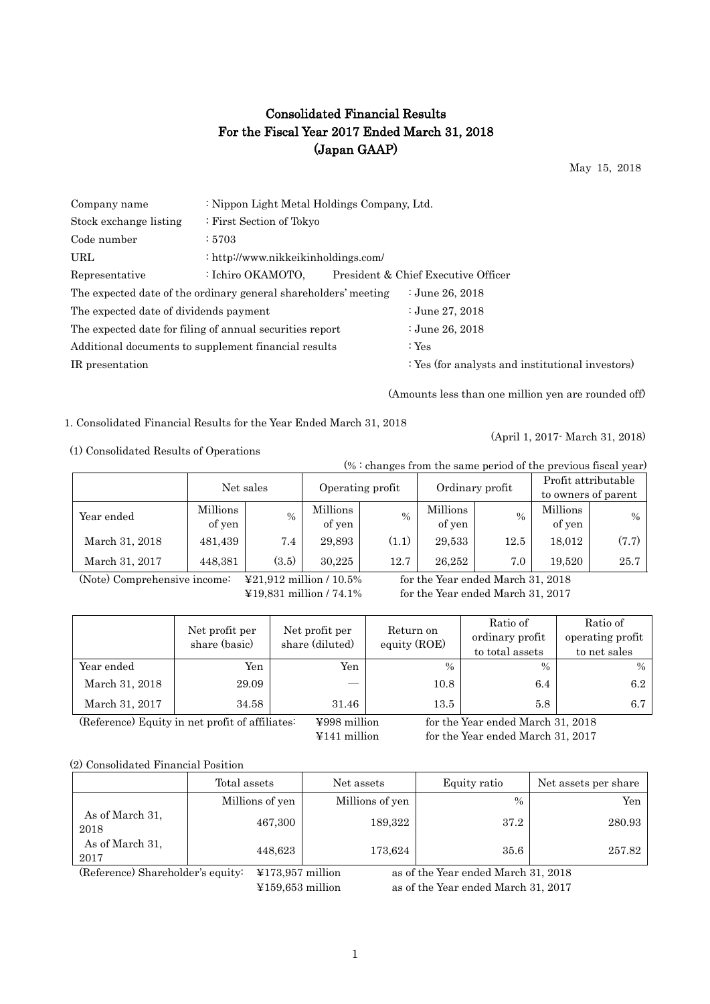## Consolidated Financial Results For the Fiscal Year 2017 Ended March 31, 2018 (Japan GAAP)

May 15, 2018

| Company name                                             | : Nippon Light Metal Holdings Company, Ltd.                     |  |                                                  |  |  |
|----------------------------------------------------------|-----------------------------------------------------------------|--|--------------------------------------------------|--|--|
| Stock exchange listing                                   | : First Section of Tokyo                                        |  |                                                  |  |  |
| Code number                                              | :5703                                                           |  |                                                  |  |  |
| URL                                                      | : http://www.nikkeikinholdings.com/                             |  |                                                  |  |  |
| Representative                                           | : Ichiro OKAMOTO.                                               |  | President & Chief Executive Officer              |  |  |
|                                                          | The expected date of the ordinary general shareholders' meeting |  | : June 26, 2018                                  |  |  |
| The expected date of dividends payment                   |                                                                 |  | : June 27, 2018                                  |  |  |
| The expected date for filing of annual securities report |                                                                 |  | : June 26, 2018                                  |  |  |
|                                                          | Additional documents to supplement financial results            |  | : Yes                                            |  |  |
| IR presentation                                          |                                                                 |  | : Yes (for analysts and institutional investors) |  |  |
|                                                          |                                                                 |  |                                                  |  |  |

(Amounts less than one million yen are rounded off)

1. Consolidated Financial Results for the Year Ended March 31, 2018

(April 1, 2017- March 31, 2018)

(1) Consolidated Results of Operations

(% : changes from the same period of the previous fiscal year)

|                | Net sales          |       | Operating profit   |               | Ordinary profit    |      | Profit attributable |       |
|----------------|--------------------|-------|--------------------|---------------|--------------------|------|---------------------|-------|
|                |                    |       |                    |               |                    |      | to owners of parent |       |
| Year ended     | Millions<br>of yen | $\%$  | Millions<br>of yen | $\frac{0}{0}$ | Millions<br>of yen | $\%$ | Millions<br>of yen  | $\%$  |
| March 31, 2018 | 481,439            | 7.4   | 29,893             | (1.1)         | 29,533             | 12.5 | 18,012              | (7.7) |
| March 31, 2017 | 448,381            | (3.5) | 30.225             | 12.7          | 26.252             | 7.0  | 19.520              | 25.7  |

(Note) Comprehensive income: ¥21,912 million / 10.5% for the Year ended March 31, 2018

¥19,831 million / 74.1% for the Year ended March 31, 2017

|                | Net profit per<br>share (basic) | Net profit per<br>share (diluted) | Return on<br>equity (ROE) | Ratio of<br>ordinary profit<br>to total assets | Ratio of<br>operating profit<br>to net sales |
|----------------|---------------------------------|-----------------------------------|---------------------------|------------------------------------------------|----------------------------------------------|
| Year ended     | Yen                             | Yen                               | $\%$                      | $\frac{0}{0}$                                  | $\%$                                         |
| March 31, 2018 | 29.09                           |                                   | 10.8                      | 6.4                                            | 6.2                                          |
| March 31, 2017 | 34.58                           | 31.46                             | 13.5                      | 5.8                                            | 6.7                                          |

(Reference) Equity in net profit of affiliates: ¥998 million for the Year ended March 31, 2018

¥141 million for the Year ended March 31, 2017

(2) Consolidated Financial Position

|                         | Total assets    | Net assets      | Equity ratio | Net assets per share |
|-------------------------|-----------------|-----------------|--------------|----------------------|
|                         | Millions of yen | Millions of yen | $\%$         | Yen                  |
| As of March 31,<br>2018 | 467,300         | 189,322         | 37.2         | 280.93               |
| As of March 31,<br>2017 | 448,623         | 173,624         | 35.6         | 257.82               |

(Reference) Shareholder's equity: ¥173,957 million as of the Year ended March 31, 2018

¥159,653 million as of the Year ended March 31, 2017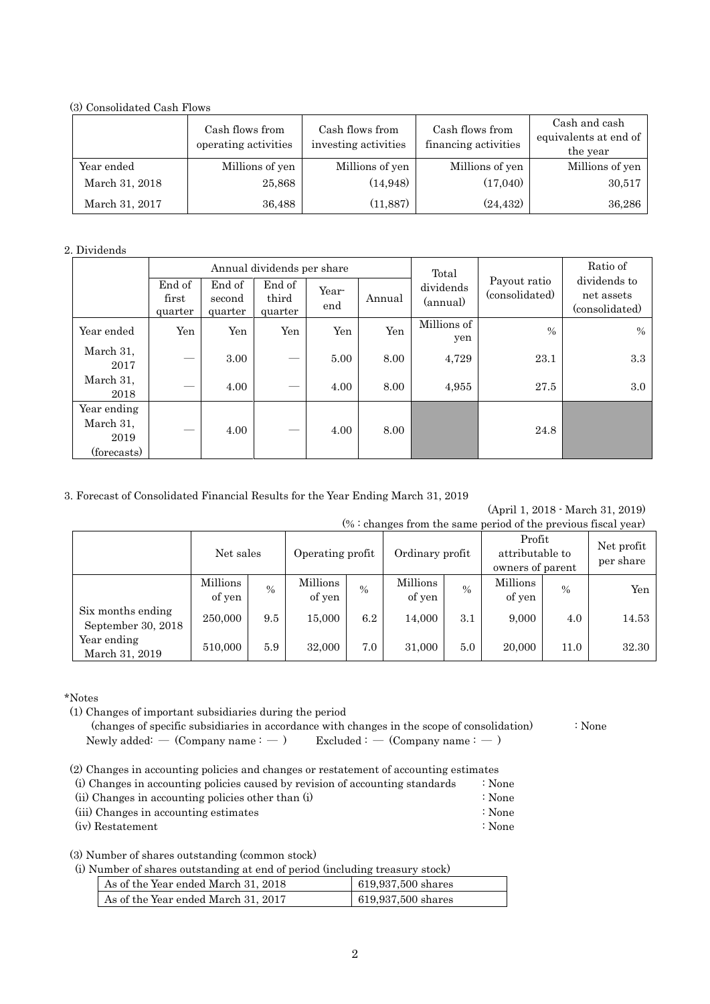(3) Consolidated Cash Flows

|                | Cash flows from<br>Cash flows from<br>operating activities<br>investing activities |                 | Cash flows from<br>financing activities | Cash and cash<br>equivalents at end of<br>the year |
|----------------|------------------------------------------------------------------------------------|-----------------|-----------------------------------------|----------------------------------------------------|
| Year ended     | Millions of yen                                                                    | Millions of yen | Millions of yen                         | Millions of yen                                    |
| March 31, 2018 | 25,868                                                                             | (14, 948)       | (17,040)                                | 30,517                                             |
| March 31, 2017 | 36,488                                                                             | (11, 887)       | (24, 432)                               | 36,286                                             |

## 2. Dividends

|                                                 |                            |                             | Annual dividends per share |              |        | Total                 |                                |                                              |  |  |
|-------------------------------------------------|----------------------------|-----------------------------|----------------------------|--------------|--------|-----------------------|--------------------------------|----------------------------------------------|--|--|
|                                                 | End of<br>first<br>quarter | End of<br>second<br>quarter | End of<br>third<br>quarter | Year-<br>end | Annual | dividends<br>(annual) | Payout ratio<br>(consolidated) | dividends to<br>net assets<br>(consolidated) |  |  |
| Year ended                                      | Yen                        | Yen                         | Yen                        | Yen          | Yen    | Millions of<br>yen    | $\frac{0}{6}$                  | $\frac{0}{0}$                                |  |  |
| March 31,<br>2017                               |                            | 3.00                        |                            | 5.00         | 8.00   | 4,729                 | 23.1                           | 3.3                                          |  |  |
| March 31,<br>2018                               |                            | 4.00                        |                            | 4.00         | 8.00   | 4,955                 | 27.5                           | 3.0                                          |  |  |
| Year ending<br>March 31,<br>2019<br>(forecasts) |                            | 4.00                        |                            | 4.00         | 8.00   |                       | 24.8                           |                                              |  |  |

## 3. Forecast of Consolidated Financial Results for the Year Ending March 31, 2019

(April 1, 2018 - March 31, 2019)

|                                         | $% :$ changes from the same period of the previous fiscal year) |               |                           |               |                    |               |                    |               |                                               |  |                         |
|-----------------------------------------|-----------------------------------------------------------------|---------------|---------------------------|---------------|--------------------|---------------|--------------------|---------------|-----------------------------------------------|--|-------------------------|
|                                         | Net sales                                                       |               |                           |               | Operating profit   |               | Ordinary profit    |               | Profit<br>attributable to<br>owners of parent |  | Net profit<br>per share |
|                                         | Millions<br>of yen                                              | $\frac{0}{0}$ | <b>Millions</b><br>of yen | $\frac{0}{0}$ | Millions<br>of yen | $\frac{0}{0}$ | Millions<br>of yen | $\frac{0}{0}$ | Yen                                           |  |                         |
| Six months ending<br>September 30, 2018 | 250,000                                                         | 9.5           | 15,000                    | 6.2           | 14,000             | 3.1           | 9.000              | 4.0           | 14.53                                         |  |                         |
| Year ending<br>March 31, 2019           | 510,000                                                         | 5.9           | 32,000                    | 7.0           | 31,000             | 5.0           | 20,000             | 11.0          | 32.30                                         |  |                         |

\*Notes

(1) Changes of important subsidiaries during the period

```
 (changes of specific subsidiaries in accordance with changes in the scope of consolidation) : None
Newly added: — (Company name : — ) Excluded : — (Company name : — )
```
(2) Changes in accounting policies and changes or restatement of accounting estimates

| (i) Changes in accounting policies caused by revision of accounting standards | : None |
|-------------------------------------------------------------------------------|--------|
| (ii) Changes in accounting policies other than (i)                            | : None |
| (iii) Changes in accounting estimates                                         | : None |

(iv) Restatement : None

(3) Number of shares outstanding (common stock)

(i) Number of shares outstanding at end of period (including treasury stock)

| $\alpha$ . The contraction of the contract of $\alpha$ interacting the contraction of $\alpha$ |                    |  |  |  |  |  |
|------------------------------------------------------------------------------------------------|--------------------|--|--|--|--|--|
| As of the Year ended March 31, 2018                                                            | 619,937,500 shares |  |  |  |  |  |
| As of the Year ended March 31, 2017                                                            | 619,937,500 shares |  |  |  |  |  |